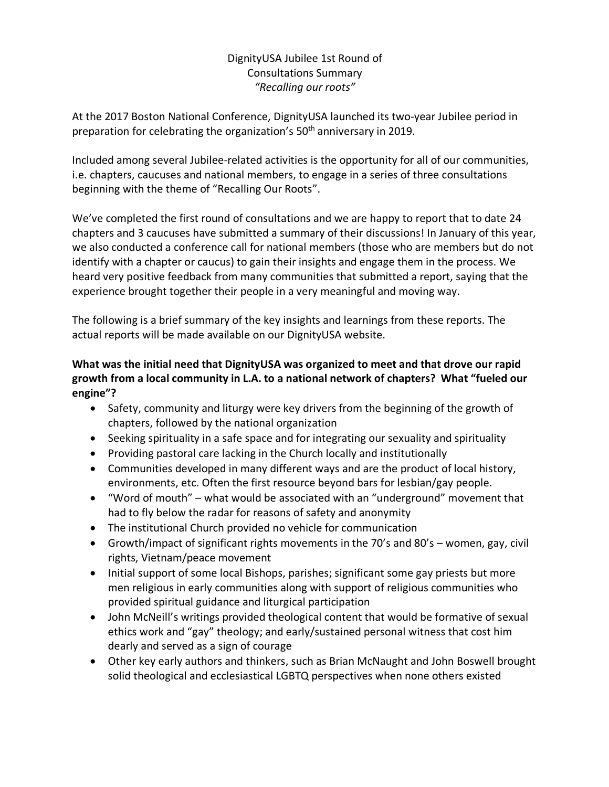## DignityUSA Jubilee 1st Round of Consultations Summary *"Recalling our roots"*

At the 2017 Boston National Conference, DignityUSA launched its two-year Jubilee period in preparation for celebrating the organization's 50<sup>th</sup> anniversary in 2019.

Included among several Jubilee-related activities is the opportunity for all of our communities, i.e. chapters, caucuses and national members, to engage in a series of three consultations beginning with the theme of "Recalling Our Roots".

We've completed the first round of consultations and we are happy to report that to date 24 chapters and 3 caucuses have submitted a summary of their discussions! In January of this year, we also conducted a conference call for national members (those who are members but do not identify with a chapter or caucus) to gain their insights and engage them in the process. We heard very positive feedback from many communities that submitted a report, saying that the experience brought together their people in a very meaningful and moving way.

The following is a brief summary of the key insights and learnings from these reports. The actual reports will be made available on our DignityUSA website.

## **What was the initial need that DignityUSA was organized to meet and that drove our rapid growth from a local community in L.A. to a national network of chapters? What "fueled our engine"?**

- Safety, community and liturgy were key drivers from the beginning of the growth of chapters, followed by the national organization
- Seeking spirituality in a safe space and for integrating our sexuality and spirituality
- Providing pastoral care lacking in the Church locally and institutionally
- Communities developed in many different ways and are the product of local history, environments, etc. Often the first resource beyond bars for lesbian/gay people.
- "Word of mouth" what would be associated with an "underground" movement that had to fly below the radar for reasons of safety and anonymity
- The institutional Church provided no vehicle for communication
- Growth/impact of significant rights movements in the 70's and 80's women, gay, civil rights, Vietnam/peace movement
- Initial support of some local Bishops, parishes; significant some gay priests but more men religious in early communities along with support of religious communities who provided spiritual guidance and liturgical participation
- John McNeill's writings provided theological content that would be formative of sexual ethics work and "gay" theology; and early/sustained personal witness that cost him dearly and served as a sign of courage
- Other key early authors and thinkers, such as Brian McNaught and John Boswell brought solid theological and ecclesiastical LGBTQ perspectives when none others existed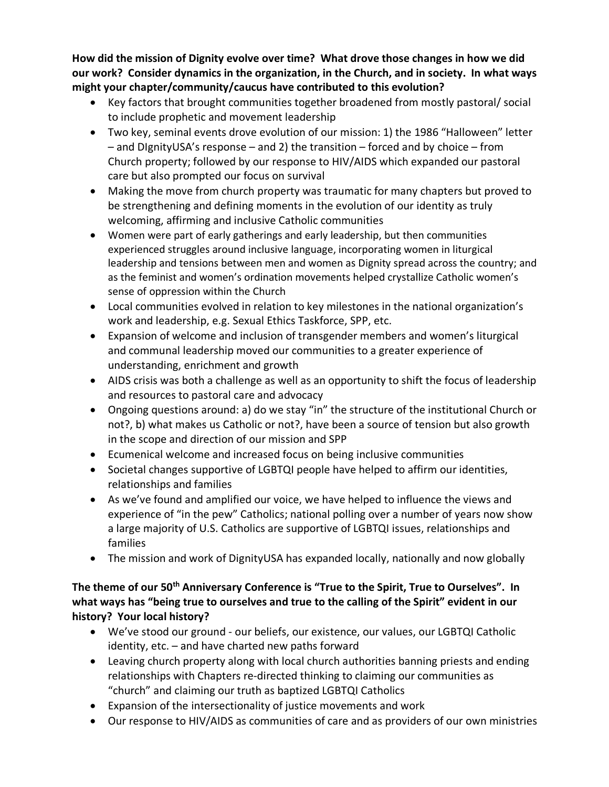**How did the mission of Dignity evolve over time? What drove those changes in how we did our work? Consider dynamics in the organization, in the Church, and in society. In what ways might your chapter/community/caucus have contributed to this evolution?** 

- Key factors that brought communities together broadened from mostly pastoral/ social to include prophetic and movement leadership
- Two key, seminal events drove evolution of our mission: 1) the 1986 "Halloween" letter – and DIgnityUSA's response – and 2) the transition – forced and by choice – from Church property; followed by our response to HIV/AIDS which expanded our pastoral care but also prompted our focus on survival
- Making the move from church property was traumatic for many chapters but proved to be strengthening and defining moments in the evolution of our identity as truly welcoming, affirming and inclusive Catholic communities
- Women were part of early gatherings and early leadership, but then communities experienced struggles around inclusive language, incorporating women in liturgical leadership and tensions between men and women as Dignity spread across the country; and as the feminist and women's ordination movements helped crystallize Catholic women's sense of oppression within the Church
- Local communities evolved in relation to key milestones in the national organization's work and leadership, e.g. Sexual Ethics Taskforce, SPP, etc.
- Expansion of welcome and inclusion of transgender members and women's liturgical and communal leadership moved our communities to a greater experience of understanding, enrichment and growth
- AIDS crisis was both a challenge as well as an opportunity to shift the focus of leadership and resources to pastoral care and advocacy
- Ongoing questions around: a) do we stay "in" the structure of the institutional Church or not?, b) what makes us Catholic or not?, have been a source of tension but also growth in the scope and direction of our mission and SPP
- Ecumenical welcome and increased focus on being inclusive communities
- Societal changes supportive of LGBTQI people have helped to affirm our identities, relationships and families
- As we've found and amplified our voice, we have helped to influence the views and experience of "in the pew" Catholics; national polling over a number of years now show a large majority of U.S. Catholics are supportive of LGBTQI issues, relationships and families
- The mission and work of DignityUSA has expanded locally, nationally and now globally

**The theme of our 50th Anniversary Conference is "True to the Spirit, True to Ourselves". In what ways has "being true to ourselves and true to the calling of the Spirit" evident in our history? Your local history?**

- We've stood our ground our beliefs, our existence, our values, our LGBTQI Catholic identity, etc. – and have charted new paths forward
- Leaving church property along with local church authorities banning priests and ending relationships with Chapters re-directed thinking to claiming our communities as "church" and claiming our truth as baptized LGBTQI Catholics
- Expansion of the intersectionality of justice movements and work
- Our response to HIV/AIDS as communities of care and as providers of our own ministries